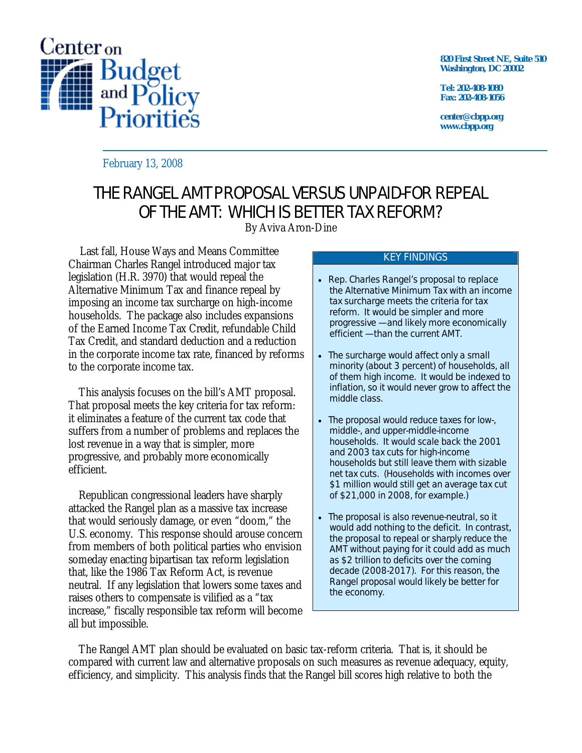

**820 First Street NE, Suite 510 Washington, DC 20002** 

**Tel: 202-408-1080 Fax: 202-408-1056** 

**center@cbpp.org www.cbpp.org** 

February 13, 2008

# THE RANGEL AMT PROPOSAL VERSUS UNPAID-FOR REPEAL OF THE AMT: WHICH IS BETTER TAX REFORM?

By Aviva Aron-Dine

Last fall, House Ways and Means Committee Chairman Charles Rangel introduced major tax legislation (H.R. 3970) that would repeal the Alternative Minimum Tax and finance repeal by imposing an income tax surcharge on high-income households. The package also includes expansions of the Earned Income Tax Credit, refundable Child Tax Credit, and standard deduction and a reduction in the corporate income tax rate, financed by reforms to the corporate income tax.

 This analysis focuses on the bill's AMT proposal. That proposal meets the key criteria for tax reform: it eliminates a feature of the current tax code that suffers from a number of problems and replaces the lost revenue in a way that is simpler, more progressive, and probably more economically efficient.

 Republican congressional leaders have sharply attacked the Rangel plan as a massive tax increase that would seriously damage, or even "doom," the U.S. economy. This response should arouse concern from members of both political parties who envision someday enacting bipartisan tax reform legislation that, like the 1986 Tax Reform Act, is revenue neutral. If any legislation that lowers some taxes and raises others to compensate is vilified as a "tax increase," fiscally responsible tax reform will become all but impossible.

#### KEY FINDINGS

- Rep. Charles Rangel's proposal to replace the Alternative Minimum Tax with an income tax surcharge meets the criteria for tax reform. It would be simpler and more progressive — and likely more economically efficient — than the current AMT.
- The surcharge would affect only a small minority (about 3 percent) of households, all of them high income. It would be indexed to inflation, so it would never grow to affect the middle class.
- The proposal would reduce taxes for low-, middle-, and upper-middle-income households. It would scale back the 2001 and 2003 tax cuts for high-income households but still leave them with sizable net tax cuts. (Households with incomes over \$1 million would still get an average tax cut of \$21,000 in 2008, for example.)
- The proposal is also revenue-neutral, so it would add nothing to the deficit. In contrast, the proposal to repeal or sharply reduce the AMT without paying for it could add as much as \$2 trillion to deficits over the coming decade (2008-2017). For this reason, the Rangel proposal would likely be better for the economy.

 The Rangel AMT plan should be evaluated on basic tax-reform criteria. That is, it should be compared with current law and alternative proposals on such measures as revenue adequacy, equity, efficiency, and simplicity. This analysis finds that the Rangel bill scores high relative to both the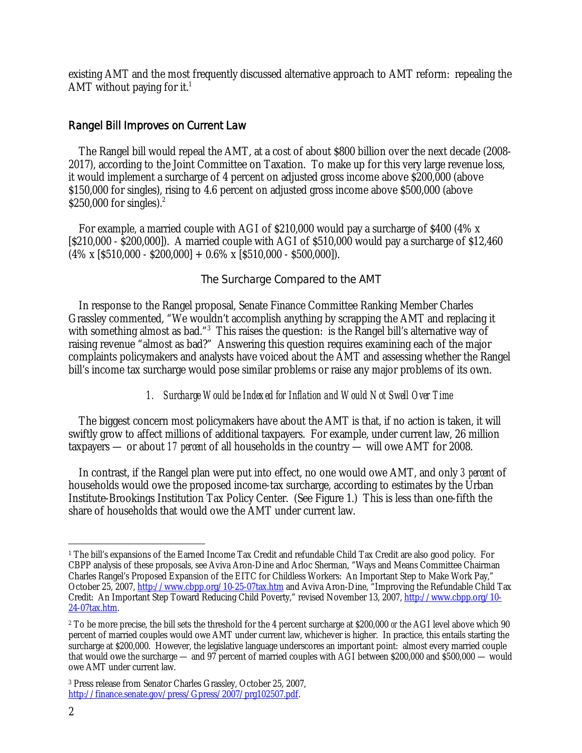existing AMT and the most frequently discussed alternative approach to AMT reform: repealing the AMT without paying for it.<sup>1</sup>

# Rangel Bill Improves on Current Law

 The Rangel bill would repeal the AMT, at a cost of about \$800 billion over the next decade (2008- 2017), according to the Joint Committee on Taxation. To make up for this very large revenue loss, it would implement a surcharge of 4 percent on adjusted gross income above \$200,000 (above \$150,000 for singles), rising to 4.6 percent on adjusted gross income above \$500,000 (above \$250,000 for singles). $2$ 

 For example, a married couple with AGI of \$210,000 would pay a surcharge of \$400 (4% x [\$210,000 - \$200,000]). A married couple with AGI of \$510,000 would pay a surcharge of \$12,460  $(4\% \times [5510,000 - $200,000] + 0.6\% \times [5510,000 - $500,000]).$ 

# The Surcharge Compared to the AMT

 In response to the Rangel proposal, Senate Finance Committee Ranking Member Charles Grassley commented, "We wouldn't accomplish anything by scrapping the AMT and replacing it with something almost as bad."<sup>3</sup> This raises the question: is the Rangel bill's alternative way of raising revenue "almost as bad?" Answering this question requires examining each of the major complaints policymakers and analysts have voiced about the AMT and assessing whether the Rangel bill's income tax surcharge would pose similar problems or raise any major problems of its own.

# *1. Surcharge Would be Indexed for Inflation and Would Not Swell Over Time*

 The biggest concern most policymakers have about the AMT is that, if no action is taken, it will swiftly grow to affect millions of additional taxpayers. For example, under current law, 26 million taxpayers — or about *17 percent* of all households in the country — will owe AMT for 2008.

 In contrast, if the Rangel plan were put into effect, no one would owe AMT, and only *3 percent* of households would owe the proposed income-tax surcharge, according to estimates by the Urban Institute-Brookings Institution Tax Policy Center. (See Figure 1.) This is less than one-fifth the share of households that would owe the AMT under current law.

 $\overline{a}$ 1 The bill's expansions of the Earned Income Tax Credit and refundable Child Tax Credit are also good policy. For CBPP analysis of these proposals, see Aviva Aron-Dine and Arloc Sherman, "Ways and Means Committee Chairman Charles Rangel's Proposed Expansion of the EITC for Childless Workers: An Important Step to Make Work Pay," October 25, 2007, http://www.cbpp.org/10-25-07tax.htm and Aviva Aron-Dine, "Improving the Refundable Child Tax Credit: An Important Step Toward Reducing Child Poverty," revised November 13, 2007, http://www.cbpp.org/10- 24-07tax.htm.

<sup>2</sup> To be more precise, the bill sets the threshold for the 4 percent surcharge at \$200,000 *or* the AGI level above which 90 percent of married couples would owe AMT under current law, whichever is higher. In practice, this entails starting the surcharge at \$200,000. However, the legislative language underscores an important point: almost every married couple that would owe the surcharge — and 97 percent of married couples with AGI between \$200,000 and \$500,000 — would owe AMT under current law.

<sup>3</sup> Press release from Senator Charles Grassley, October 25, 2007, http://finance.senate.gov/press/Gpress/2007/prg102507.pdf.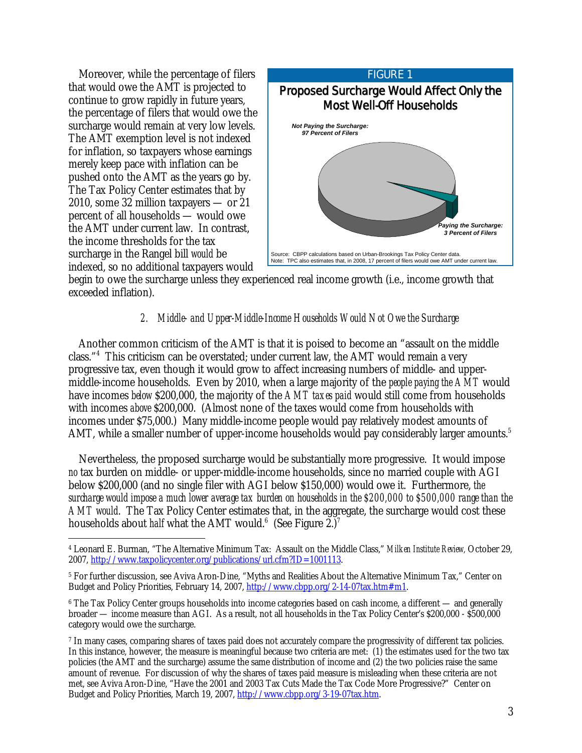Moreover, while the percentage of filers that would owe the AMT is projected to continue to grow rapidly in future years, the percentage of filers that would owe the surcharge would remain at very low levels. The AMT exemption level is not indexed for inflation, so taxpayers whose earnings merely keep pace with inflation can be pushed onto the AMT as the years go by. The Tax Policy Center estimates that by 2010, some 32 million taxpayers — or 21 percent of all households — would owe the AMT under current law. In contrast, the income thresholds for the tax surcharge in the Rangel bill *would* be indexed, so no additional taxpayers would



begin to owe the surcharge unless they experienced real income growth (i.e., income growth that exceeded inflation).

# *2. Middle- and Upper-Middle-Income Households Would Not Owe the Surcharge*

 Another common criticism of the AMT is that it is poised to become an "assault on the middle class."4 This criticism can be overstated; under current law, the AMT would remain a very progressive tax, even though it would grow to affect increasing numbers of middle- and uppermiddle-income households. Even by 2010, when a large majority of the *people paying the AMT* would have incomes *below* \$200,000, the majority of the *AMT taxes paid* would still come from households with incomes *above* \$200,000. (Almost none of the taxes would come from households with incomes under \$75,000.) Many middle-income people would pay relatively modest amounts of AMT, while a smaller number of upper-income households would pay considerably larger amounts.<sup>5</sup>

 Nevertheless, the proposed surcharge would be substantially more progressive. It would impose *no* tax burden on middle- or upper-middle-income households, since no married couple with AGI below \$200,000 (and no single filer with AGI below \$150,000) would owe it. Furthermore, *the surcharge would impose a much lower average tax burden on households in the \$200,000 to \$500,000 range than the AMT would*. The Tax Policy Center estimates that, in the aggregate, the surcharge would cost these households about *half* what the AMT would.<sup>6</sup> (See Figure 2.)<sup>7</sup>

 $\overline{a}$ 4 Leonard E. Burman, "The Alternative Minimum Tax: Assault on the Middle Class," *Milken Institute Review,* October 29, 2007, http://www.taxpolicycenter.org/publications/url.cfm?ID=1001113.

<sup>5</sup> For further discussion, see Aviva Aron-Dine, "Myths and Realities About the Alternative Minimum Tax," Center on Budget and Policy Priorities, February 14, 2007, http://www.cbpp.org/2-14-07tax.htm#m1.

<sup>6</sup> The Tax Policy Center groups households into income categories based on cash income, a different — and generally broader — income measure than AGI. As a result, not all households in the Tax Policy Center's \$200,000 - \$500,000 category would owe the surcharge.

<sup>7</sup> In many cases, comparing shares of taxes paid does not accurately compare the progressivity of different tax policies. In this instance, however, the measure is meaningful because two criteria are met: (1) the estimates used for the two tax policies (the AMT and the surcharge) assume the same distribution of income and (2) the two policies raise the same amount of revenue. For discussion of why the shares of taxes paid measure is misleading when these criteria are not met, see Aviva Aron-Dine, "Have the 2001 and 2003 Tax Cuts Made the Tax Code More Progressive?" Center on Budget and Policy Priorities, March 19, 2007, http://www.cbpp.org/3-19-07tax.htm.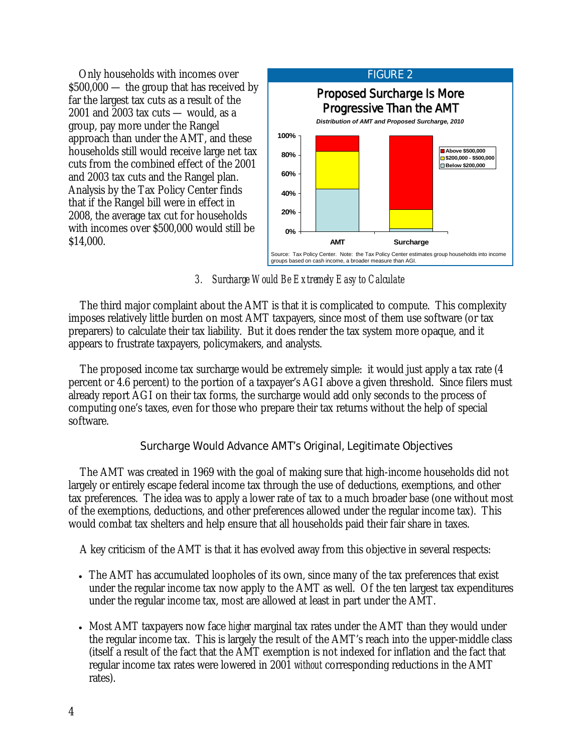Only households with incomes over \$500,000 — the group that has received by far the largest tax cuts as a result of the 2001 and 2003 tax cuts — would, as a group, pay more under the Rangel approach than under the AMT, and these households still would receive large net tax cuts from the combined effect of the 2001 and 2003 tax cuts and the Rangel plan. Analysis by the Tax Policy Center finds that if the Rangel bill were in effect in 2008, the average tax cut for households with incomes over \$500,000 would still be \$14,000.



# *3. Surcharge Would Be Extremely Easy to Calculate*

The third major complaint about the AMT is that it is complicated to compute. This complexity imposes relatively little burden on most AMT taxpayers, since most of them use software (or tax preparers) to calculate their tax liability. But it does render the tax system more opaque, and it appears to frustrate taxpayers, policymakers, and analysts.

The proposed income tax surcharge would be extremely simple: it would just apply a tax rate (4 percent or 4.6 percent) to the portion of a taxpayer's AGI above a given threshold. Since filers must already report AGI on their tax forms, the surcharge would add only seconds to the process of computing one's taxes, even for those who prepare their tax returns without the help of special software.

# Surcharge Would Advance AMT's Original, Legitimate Objectives

The AMT was created in 1969 with the goal of making sure that high-income households did not largely or entirely escape federal income tax through the use of deductions, exemptions, and other tax preferences. The idea was to apply a lower rate of tax to a much broader base (one without most of the exemptions, deductions, and other preferences allowed under the regular income tax). This would combat tax shelters and help ensure that all households paid their fair share in taxes.

A key criticism of the AMT is that it has evolved away from this objective in several respects:

- The AMT has accumulated loopholes of its own, since many of the tax preferences that exist under the regular income tax now apply to the AMT as well. Of the ten largest tax expenditures under the regular income tax, most are allowed at least in part under the AMT.
- Most AMT taxpayers now face *higher* marginal tax rates under the AMT than they would under the regular income tax. This is largely the result of the AMT's reach into the upper-middle class (itself a result of the fact that the AMT exemption is not indexed for inflation and the fact that regular income tax rates were lowered in 2001 *without* corresponding reductions in the AMT rates).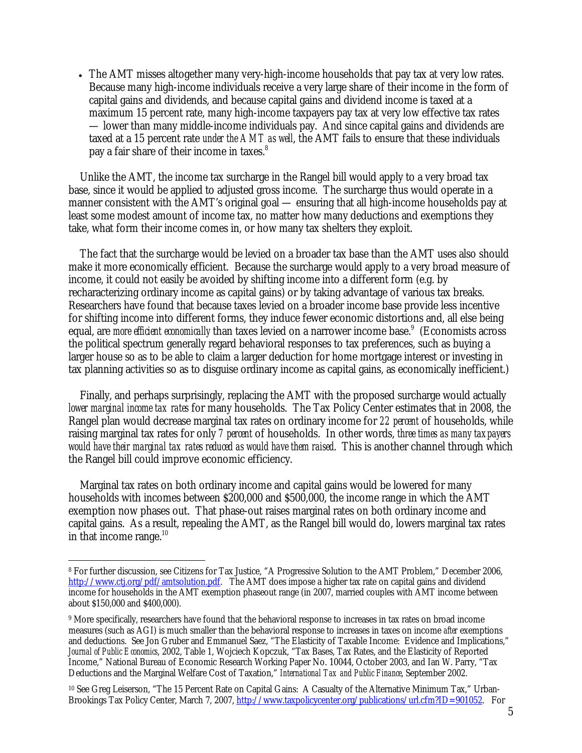• The AMT misses altogether many very-high-income households that pay tax at very low rates. Because many high-income individuals receive a very large share of their income in the form of capital gains and dividends, and because capital gains and dividend income is taxed at a maximum 15 percent rate, many high-income taxpayers pay tax at very low effective tax rates — lower than many middle-income individuals pay. And since capital gains and dividends are taxed at a 15 percent rate *under the AMT as well*, the AMT fails to ensure that these individuals pay a fair share of their income in taxes.<sup>8</sup>

Unlike the AMT, the income tax surcharge in the Rangel bill would apply to a very broad tax base, since it would be applied to adjusted gross income. The surcharge thus would operate in a manner consistent with the AMT's original goal — ensuring that all high-income households pay at least some modest amount of income tax, no matter how many deductions and exemptions they take, what form their income comes in, or how many tax shelters they exploit.

The fact that the surcharge would be levied on a broader tax base than the AMT uses also should make it more economically efficient. Because the surcharge would apply to a very broad measure of income, it could not easily be avoided by shifting income into a different form (e.g. by recharacterizing ordinary income as capital gains) or by taking advantage of various tax breaks. Researchers have found that because taxes levied on a broader income base provide less incentive for shifting income into different forms, they induce fewer economic distortions and, all else being equal, are *more efficient economically* than taxes levied on a narrower income base.<sup>9</sup> (Economists across the political spectrum generally regard behavioral responses to tax preferences, such as buying a larger house so as to be able to claim a larger deduction for home mortgage interest or investing in tax planning activities so as to disguise ordinary income as capital gains, as economically inefficient.)

Finally, and perhaps surprisingly, replacing the AMT with the proposed surcharge would actually *lower marginal income tax rates* for many households. The Tax Policy Center estimates that in 2008, the Rangel plan would decrease marginal tax rates on ordinary income for *22 percent* of households, while raising marginal tax rates for only *7 percent* of households. In other words, *three times as many taxpayers would have their marginal tax rates reduced as would have them raised*. This is another channel through which the Rangel bill could improve economic efficiency.

Marginal tax rates on both ordinary income and capital gains would be lowered for many households with incomes between \$200,000 and \$500,000, the income range in which the AMT exemption now phases out. That phase-out raises marginal rates on both ordinary income and capital gains. As a result, repealing the AMT, as the Rangel bill would do, lowers marginal tax rates in that income range. $^{10}$ 

<sup>10</sup> See Greg Leiserson, "The 15 Percent Rate on Capital Gains: A Casualty of the Alternative Minimum Tax," Urban-Brookings Tax Policy Center, March 7, 2007, http://www.taxpolicycenter.org/publications/url.cfm?ID=901052. For

<sup>-</sup>8 For further discussion, see Citizens for Tax Justice, "A Progressive Solution to the AMT Problem," December 2006, http://www.ctj.org/pdf/amtsolution.pdf. The AMT does impose a higher tax rate on capital gains and dividend income for households in the AMT exemption phaseout range (in 2007, married couples with AMT income between about \$150,000 and \$400,000).

<sup>9</sup> More specifically, researchers have found that the behavioral response to increases in tax rates on broad income measures (such as AGI) is much smaller than the behavioral response to increases in taxes on income *after* exemptions and deductions. See Jon Gruber and Emmanuel Saez, "The Elasticity of Taxable Income: Evidence and Implications," *Journal of Public Economics*, 2002, Table 1, Wojciech Kopczuk, "Tax Bases, Tax Rates, and the Elasticity of Reported Income," National Bureau of Economic Research Working Paper No. 10044, October 2003, and Ian W. Parry, "Tax Deductions and the Marginal Welfare Cost of Taxation," *International Tax and Public Finance*, September 2002.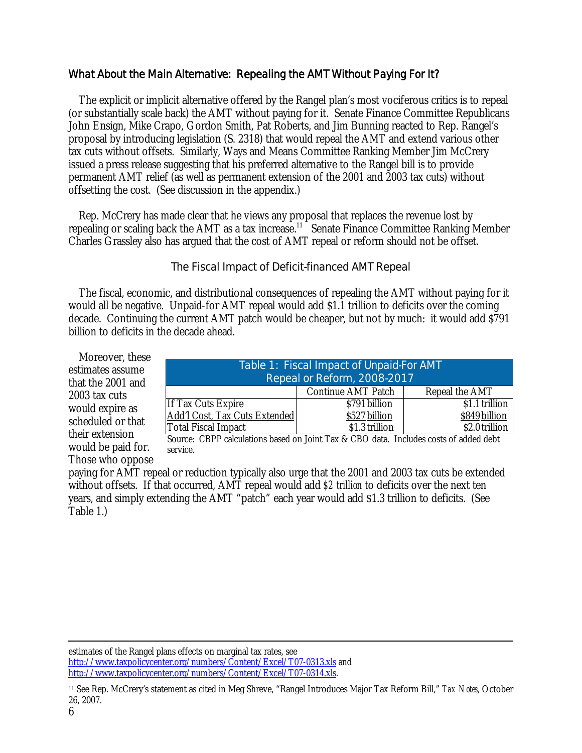# What About the Main Alternative: Repealing the AMT Without Paying For It?

 The explicit or implicit alternative offered by the Rangel plan's most vociferous critics is to repeal (or substantially scale back) the AMT without paying for it. Senate Finance Committee Republicans John Ensign, Mike Crapo, Gordon Smith, Pat Roberts, and Jim Bunning reacted to Rep. Rangel's proposal by introducing legislation (S. 2318) that would repeal the AMT and extend various other tax cuts without offsets. Similarly, Ways and Means Committee Ranking Member Jim McCrery issued a press release suggesting that his preferred alternative to the Rangel bill is to provide permanent AMT relief (as well as permanent extension of the 2001 and 2003 tax cuts) without offsetting the cost. (See discussion in the appendix.)

 Rep. McCrery has made clear that he views any proposal that replaces the revenue lost by repealing or scaling back the AMT as a tax increase.<sup>11</sup> Senate Finance Committee Ranking Member Charles Grassley also has argued that the cost of AMT repeal or reform should not be offset.

# The Fiscal Impact of Deficit-financed AMT Repeal

 The fiscal, economic, and distributional consequences of repealing the AMT without paying for it would all be negative. Unpaid-for AMT repeal would add \$1.1 trillion to deficits over the coming decade. Continuing the current AMT patch would be cheaper, but not by much: it would add \$791 billion to deficits in the decade ahead.

 Moreover, these estimates assume that the 2001 and 2003 tax cuts would expire as scheduled or that their extension would be paid for. Those who oppose

| Table 1: Fiscal Impact of Unpaid-For AMT<br>Repeal or Reform, 2008-2017 |                    |                     |
|-------------------------------------------------------------------------|--------------------|---------------------|
|                                                                         | Continue AMT Patch | Repeal the AMT      |
| If Tax Cuts Expire                                                      | \$791 billion      | \$1.1 trillion      |
| Add'l Cost, Tax Cuts Extended                                           | \$527 billion      | \$849 billion       |
| <b>Total Fiscal Impact</b>                                              | \$1.3 trillion     | \$2.0 trillion<br>. |

Source: CBPP calculations based on Joint Tax & CBO data. Includes costs of added debt service.

paying for AMT repeal or reduction typically also urge that the 2001 and 2003 tax cuts be extended without offsets. If that occurred, AMT repeal would add *\$2 trillion* to deficits over the next ten years, and simply extending the AMT "patch" each year would add \$1.3 trillion to deficits. (See Table 1.)

estimates of the Rangel plans effects on marginal tax rates, see http://www.taxpolicycenter.org/numbers/Content/Excel/T07-0313.xls and http://www.taxpolicycenter.org/numbers/Content/Excel/T07-0314.xls.

<sup>11</sup> See Rep. McCrery's statement as cited in Meg Shreve, "Rangel Introduces Major Tax Reform Bill," *Tax Notes*, October 26, 2007.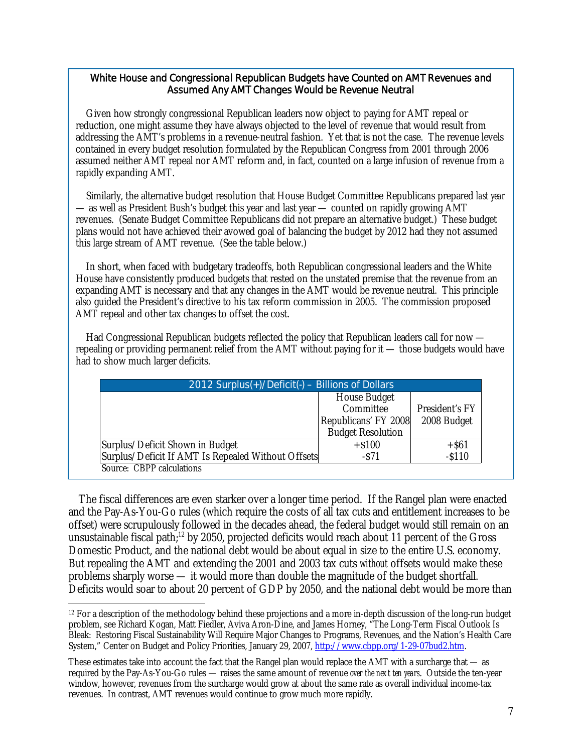## White House and Congressional Republican Budgets have Counted on AMT Revenues and Assumed Any AMT Changes Would be Revenue Neutral

 Given how strongly congressional Republican leaders now object to paying for AMT repeal or reduction, one might assume they have always objected to the level of revenue that would result from addressing the AMT's problems in a revenue-neutral fashion. Yet that is not the case. The revenue levels contained in every budget resolution formulated by the Republican Congress from 2001 through 2006 assumed neither AMT repeal nor AMT reform and, in fact, counted on a large infusion of revenue from a rapidly expanding AMT.

 Similarly, the alternative budget resolution that House Budget Committee Republicans prepared *last year* — as well as President Bush's budget this year and last year — counted on rapidly growing AMT revenues. (Senate Budget Committee Republicans did not prepare an alternative budget.) These budget plans would not have achieved their avowed goal of balancing the budget by 2012 had they not assumed this large stream of AMT revenue. (See the table below.)

 In short, when faced with budgetary tradeoffs, both Republican congressional leaders and the White House have consistently produced budgets that rested on the unstated premise that the revenue from an expanding AMT is necessary and that any changes in the AMT would be revenue neutral. This principle also guided the President's directive to his tax reform commission in 2005. The commission proposed AMT repeal and other tax changes to offset the cost.

 Had Congressional Republican budgets reflected the policy that Republican leaders call for now repealing or providing permanent relief from the AMT without paying for it — those budgets would have had to show much larger deficits.

| 2012 Surplus(+)/Deficit(-) - Billions of Dollars   |                          |                |
|----------------------------------------------------|--------------------------|----------------|
|                                                    | House Budget             |                |
|                                                    | Committee                | President's FY |
|                                                    | Republicans' FY 2008     | 2008 Budget    |
|                                                    | <b>Budget Resolution</b> |                |
| Surplus/Deficit Shown in Budget                    | $+ $100$                 | $+$ \$61       |
| Surplus/Deficit If AMT Is Repealed Without Offsets | $-571$                   | $- $110$       |
| Source: CBPP calculations                          |                          |                |

 The fiscal differences are even starker over a longer time period. If the Rangel plan were enacted and the Pay-As-You-Go rules (which require the costs of all tax cuts and entitlement increases to be offset) were scrupulously followed in the decades ahead, the federal budget would still remain on an unsustainable fiscal path;<sup>12</sup> by 2050, projected deficits would reach about 11 percent of the Gross Domestic Product, and the national debt would be about equal in size to the entire U.S. economy. But repealing the AMT and extending the 2001 and 2003 tax cuts *without* offsets would make these problems sharply worse — it would more than double the magnitude of the budget shortfall. Deficits would soar to about 20 percent of GDP by 2050, and the national debt would be more than

<sup>-</sup> $12$  For a description of the methodology behind these projections and a more in-depth discussion of the long-run budget problem, see Richard Kogan, Matt Fiedler, Aviva Aron-Dine, and James Horney, "The Long-Term Fiscal Outlook Is Bleak: Restoring Fiscal Sustainability Will Require Major Changes to Programs, Revenues, and the Nation's Health Care System," Center on Budget and Policy Priorities, January 29, 2007, http://www.cbpp.org/1-29-07bud2.htm.

These estimates take into account the fact that the Rangel plan would replace the AMT with a surcharge that — as required by the Pay-As-You-Go rules — raises the same amount of revenue *over the next ten years*. Outside the ten-year window, however, revenues from the surcharge would grow at about the same rate as overall individual income-tax revenues. In contrast, AMT revenues would continue to grow much more rapidly.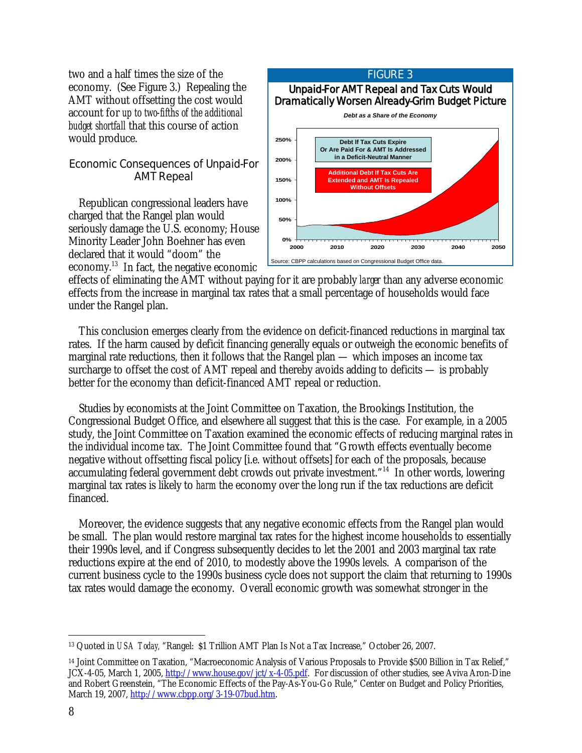two and a half times the size of the economy. (See Figure 3.) Repealing the AMT without offsetting the cost would account for *up to two-fifths of the additional budget shortfall* that this course of action would produce.

# Economic Consequences of Unpaid-For AMT Repeal

 Republican congressional leaders have charged that the Rangel plan would seriously damage the U.S. economy; House Minority Leader John Boehner has even declared that it would "doom" the economy.13 In fact, the negative economic



effects of eliminating the AMT without paying for it are probably *larger* than any adverse economic effects from the increase in marginal tax rates that a small percentage of households would face under the Rangel plan.

 This conclusion emerges clearly from the evidence on deficit-financed reductions in marginal tax rates. If the harm caused by deficit financing generally equals or outweigh the economic benefits of marginal rate reductions, then it follows that the Rangel plan — which imposes an income tax surcharge to offset the cost of AMT repeal and thereby avoids adding to deficits — is probably better for the economy than deficit-financed AMT repeal or reduction.

 Studies by economists at the Joint Committee on Taxation, the Brookings Institution, the Congressional Budget Office, and elsewhere all suggest that this is the case. For example, in a 2005 study, the Joint Committee on Taxation examined the economic effects of reducing marginal rates in the individual income tax. The Joint Committee found that "Growth effects eventually become negative without offsetting fiscal policy [i.e. without offsets] for each of the proposals, because accumulating federal government debt crowds out private investment."14 In other words, lowering marginal tax rates is likely to *harm* the economy over the long run if the tax reductions are deficit financed.

 Moreover, the evidence suggests that any negative economic effects from the Rangel plan would be small. The plan would restore marginal tax rates for the highest income households to essentially their 1990s level, and if Congress subsequently decides to let the 2001 and 2003 marginal tax rate reductions expire at the end of 2010, to modestly above the 1990s levels. A comparison of the current business cycle to the 1990s business cycle does not support the claim that returning to 1990s tax rates would damage the economy. Overall economic growth was somewhat stronger in the

 $\overline{a}$ 13 Quoted in *USA Today,* "Rangel: \$1 Trillion AMT Plan Is Not a Tax Increase," October 26, 2007.

<sup>14</sup> Joint Committee on Taxation, "Macroeconomic Analysis of Various Proposals to Provide \$500 Billion in Tax Relief," JCX-4-05, March 1, 2005, http://www.house.gov/jct/x-4-05.pdf. For discussion of other studies, see Aviva Aron-Dine and Robert Greenstein, "The Economic Effects of the Pay-As-You-Go Rule," Center on Budget and Policy Priorities, March 19, 2007, http://www.cbpp.org/3-19-07bud.htm.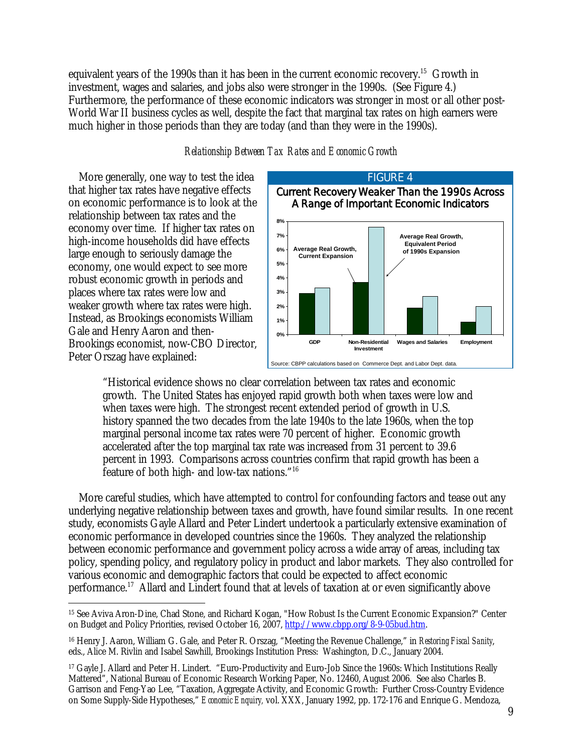equivalent years of the 1990s than it has been in the current economic recovery.<sup>15</sup> Growth in investment, wages and salaries, and jobs also were stronger in the 1990s. (See Figure 4.) Furthermore, the performance of these economic indicators was stronger in most or all other post-World War II business cycles as well, despite the fact that marginal tax rates on high earners were much higher in those periods than they are today (and than they were in the 1990s).

## *Relationship Between Tax Rates and Economic Growth*

 More generally, one way to test the idea that higher tax rates have negative effects on economic performance is to look at the relationship between tax rates and the economy over time. If higher tax rates on high-income households did have effects large enough to seriously damage the economy, one would expect to see more robust economic growth in periods and places where tax rates were low and weaker growth where tax rates were high. Instead, as Brookings economists William Gale and Henry Aaron and then-Brookings economist, now-CBO Director, Peter Orszag have explained:



"Historical evidence shows no clear correlation between tax rates and economic growth. The United States has enjoyed rapid growth both when taxes were low and when taxes were high. The strongest recent extended period of growth in U.S. history spanned the two decades from the late 1940s to the late 1960s, when the top marginal personal income tax rates were 70 percent of higher. Economic growth accelerated after the top marginal tax rate was increased from 31 percent to 39.6 percent in 1993. Comparisons across countries confirm that rapid growth has been a feature of both high- and low-tax nations."16

 More careful studies, which have attempted to control for confounding factors and tease out any underlying negative relationship between taxes and growth, have found similar results. In one recent study, economists Gayle Allard and Peter Lindert undertook a particularly extensive examination of economic performance in developed countries since the 1960s. They analyzed the relationship between economic performance and government policy across a wide array of areas, including tax policy, spending policy, and regulatory policy in product and labor markets. They also controlled for various economic and demographic factors that could be expected to affect economic performance.<sup>17</sup> Allard and Lindert found that at levels of taxation at or even significantly above

 $\overline{a}$ 15 See Aviva Aron-Dine, Chad Stone, and Richard Kogan, "How Robust Is the Current Economic Expansion?" Center on Budget and Policy Priorities, revised October 16, 2007, http://www.cbpp.org/8-9-05bud.htm.

<sup>16</sup> Henry J. Aaron, William G. Gale, and Peter R. Orszag, "Meeting the Revenue Challenge," in *Restoring Fiscal Sanity*, eds., Alice M. Rivlin and Isabel Sawhill, Brookings Institution Press: Washington, D.C., January 2004.

<sup>17</sup> Gayle J. Allard and Peter H. Lindert. "Euro-Productivity and Euro-Job Since the 1960s: Which Institutions Really Mattered", National Bureau of Economic Research Working Paper, No. 12460, August 2006. See also Charles B. Garrison and Feng-Yao Lee, "Taxation, Aggregate Activity, and Economic Growth: Further Cross-Country Evidence on Some Supply-Side Hypotheses," *Economic Enquiry,* vol. XXX, January 1992, pp. 172-176 and Enrique G. Mendoza,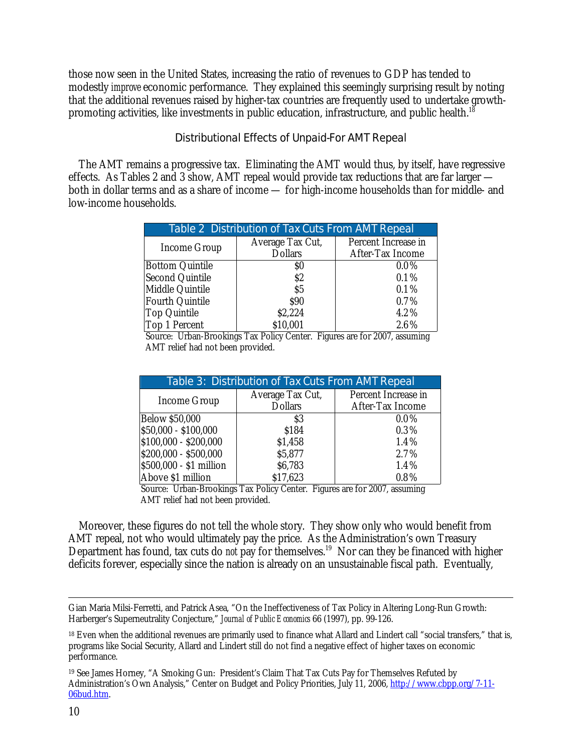those now seen in the United States, increasing the ratio of revenues to GDP has tended to modestly *improve* economic performance. They explained this seemingly surprising result by noting that the additional revenues raised by higher-tax countries are frequently used to undertake growthpromoting activities, like investments in public education, infrastructure, and public health.<sup>1</sup>

# Distributional Effects of Unpaid-For AMT Repeal

 The AMT remains a progressive tax. Eliminating the AMT would thus, by itself, have regressive effects. As Tables 2 and 3 show, AMT repeal would provide tax reductions that are far larger both in dollar terms and as a share of income — for high-income households than for middle- and low-income households.

| Table 2 Distribution of Tax Cuts From AMT Repeal |                  |                     |  |
|--------------------------------------------------|------------------|---------------------|--|
| Income Group                                     | Average Tax Cut, | Percent Increase in |  |
|                                                  | <b>Dollars</b>   | After-Tax Income    |  |
| <b>Bottom Quintile</b>                           | S0               | $0.0\%$             |  |
| Second Quintile                                  | \$2              | 0.1%                |  |
| Middle Quintile                                  | \$5              | 0.1%                |  |
| Fourth Quintile                                  | \$90             | 0.7%                |  |
| Top Quintile                                     | \$2,224          | 4.2%                |  |
| Top 1 Percent                                    | \$10,001         | 2.6%                |  |
|                                                  |                  |                     |  |

Source: Urban-Brookings Tax Policy Center. Figures are for 2007, assuming AMT relief had not been provided.

| Table 3: Distribution of Tax Cuts From AMT Repeal |                  |                     |  |
|---------------------------------------------------|------------------|---------------------|--|
| Income Group                                      | Average Tax Cut, | Percent Increase in |  |
|                                                   | <b>Dollars</b>   | After-Tax Income    |  |
| <b>Below \$50,000</b>                             | \$3              | $0.0\%$             |  |
| \$50,000 - \$100,000                              | \$184            | 0.3%                |  |
| \$100,000 - \$200,000                             | \$1,458          | 1.4%                |  |
| \$200,000 - \$500,000                             | \$5,877          | 2.7%                |  |
| \$500,000 - \$1 million                           | \$6,783          | 1.4%                |  |
| Above \$1 million                                 | \$17,623         | $0.8\%$             |  |

Source: Urban-Brookings Tax Policy Center. Figures are for 2007, assuming AMT relief had not been provided.

 Moreover, these figures do not tell the whole story. They show only who would benefit from AMT repeal, not who would ultimately pay the price. As the Administration's own Treasury Department has found, tax cuts do *not* pay for themselves.<sup>19</sup> Nor can they be financed with higher deficits forever, especially since the nation is already on an unsustainable fiscal path. Eventually,

Gian Maria Milsi-Ferretti, and Patrick Asea, "On the Ineffectiveness of Tax Policy in Altering Long-Run Growth: Harberger's Superneutrality Conjecture," *Journal of Public Economics* 66 (1997), pp. 99-126.

<sup>&</sup>lt;sup>18</sup> Even when the additional revenues are primarily used to finance what Allard and Lindert call "social transfers." that is. programs like Social Security, Allard and Lindert still do not find a negative effect of higher taxes on economic performance.

<sup>19</sup> See James Horney, "A Smoking Gun: President's Claim That Tax Cuts Pay for Themselves Refuted by Administration's Own Analysis," Center on Budget and Policy Priorities, July 11, 2006, http://www.cbpp.org/7-11- 06bud.htm.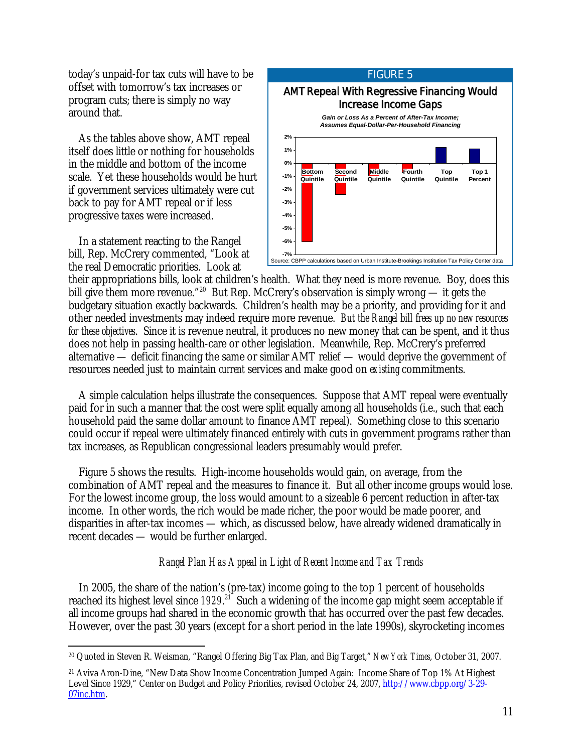today's unpaid-for tax cuts will have to be offset with tomorrow's tax increases or program cuts; there is simply no way around that.

 As the tables above show, AMT repeal itself does little or nothing for households in the middle and bottom of the income scale. Yet these households would be hurt if government services ultimately were cut back to pay for AMT repeal or if less progressive taxes were increased.

 In a statement reacting to the Rangel bill, Rep. McCrery commented, "Look at the real Democratic priorities. Look at



their appropriations bills, look at children's health. What they need is more revenue. Boy, does this bill give them more revenue."<sup>20</sup> But Rep. McCrery's observation is simply wrong — it gets the budgetary situation exactly backwards. Children's health may be a priority, and providing for it and other needed investments may indeed require more revenue. *But the Rangel bill frees up no new resources for these objectives*. Since it is revenue neutral, it produces no new money that can be spent, and it thus does not help in passing health-care or other legislation. Meanwhile, Rep. McCrery's preferred alternative — deficit financing the same or similar AMT relief — would deprive the government of resources needed just to maintain *current* services and make good on *existing* commitments.

 A simple calculation helps illustrate the consequences. Suppose that AMT repeal were eventually paid for in such a manner that the cost were split equally among all households (i.e., such that each household paid the same dollar amount to finance AMT repeal). Something close to this scenario could occur if repeal were ultimately financed entirely with cuts in government programs rather than tax increases, as Republican congressional leaders presumably would prefer.

 Figure 5 shows the results. High-income households would gain, on average, from the combination of AMT repeal and the measures to finance it. But all other income groups would lose. For the lowest income group, the loss would amount to a sizeable 6 percent reduction in after-tax income. In other words, the rich would be made richer, the poor would be made poorer, and disparities in after-tax incomes — which, as discussed below, have already widened dramatically in recent decades — would be further enlarged.

## *Rangel Plan Has Appeal in Light of Recent Income and Tax Trends*

 In 2005, the share of the nation's (pre-tax) income going to the top 1 percent of households reached its highest level since 1929.<sup>21</sup> Such a widening of the income gap might seem acceptable if all income groups had shared in the economic growth that has occurred over the past few decades. However, over the past 30 years (except for a short period in the late 1990s), skyrocketing incomes

<sup>-</sup>20 Quoted in Steven R. Weisman, "Rangel Offering Big Tax Plan, and Big Target," *New York Times*, October 31, 2007.

<sup>21</sup> Aviva Aron-Dine, "New Data Show Income Concentration Jumped Again: Income Share of Top 1% At Highest Level Since 1929," Center on Budget and Policy Priorities, revised October 24, 2007, http://www.cbpp.org/3-29- 07inc.htm.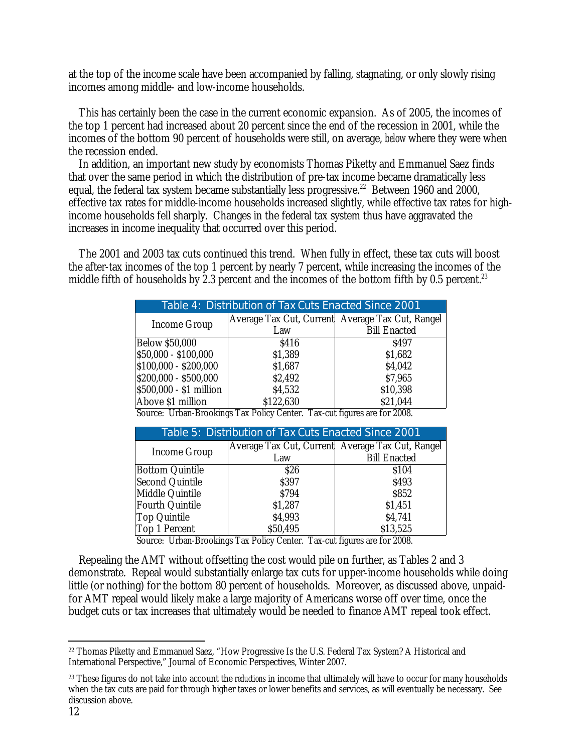at the top of the income scale have been accompanied by falling, stagnating, or only slowly rising incomes among middle- and low-income households.

 This has certainly been the case in the current economic expansion. As of 2005, the incomes of the top 1 percent had increased about 20 percent since the end of the recession in 2001, while the incomes of the bottom 90 percent of households were still, on average, *below* where they were when the recession ended.

In addition, an important new study by economists Thomas Piketty and Emmanuel Saez finds that over the same period in which the distribution of pre-tax income became dramatically less equal, the federal tax system became substantially less progressive.<sup>22</sup> Between 1960 and 2000, effective tax rates for middle-income households increased slightly, while effective tax rates for highincome households fell sharply. Changes in the federal tax system thus have aggravated the increases in income inequality that occurred over this period.

 The 2001 and 2003 tax cuts continued this trend. When fully in effect, these tax cuts will boost the after-tax incomes of the top 1 percent by nearly 7 percent, while increasing the incomes of the middle fifth of households by 2.3 percent and the incomes of the bottom fifth by 0.5 percent.<sup>23</sup>

| Table 4: Distribution of Tax Cuts Enacted Since 2001 |                                                                                                                                                                                                                                                                                                                                                                    |                                                  |
|------------------------------------------------------|--------------------------------------------------------------------------------------------------------------------------------------------------------------------------------------------------------------------------------------------------------------------------------------------------------------------------------------------------------------------|--------------------------------------------------|
| Income Group                                         |                                                                                                                                                                                                                                                                                                                                                                    | Average Tax Cut, Current Average Tax Cut, Rangel |
|                                                      | Law                                                                                                                                                                                                                                                                                                                                                                | <b>Bill Enacted</b>                              |
| <b>Below \$50,000</b>                                | \$416                                                                                                                                                                                                                                                                                                                                                              | S <sub>497</sub>                                 |
| \$50,000 - \$100,000                                 | \$1,389                                                                                                                                                                                                                                                                                                                                                            | \$1,682                                          |
| \$100,000 - \$200,000                                | \$1,687                                                                                                                                                                                                                                                                                                                                                            | \$4,042                                          |
| \$200,000 - \$500,000                                | \$2,492                                                                                                                                                                                                                                                                                                                                                            | \$7,965                                          |
| \$500,000 - \$1 million                              | \$4,532                                                                                                                                                                                                                                                                                                                                                            | \$10,398                                         |
| Above \$1 million                                    | \$122,630                                                                                                                                                                                                                                                                                                                                                          | \$21,044                                         |
| $T$ $T$ $T$ $T$<br>$\cdots$                          | $\mathbf{D}$ $\mathbf{D}$ $\mathbf{D}$ $\mathbf{D}$ $\mathbf{D}$ $\mathbf{D}$ $\mathbf{D}$ $\mathbf{D}$ $\mathbf{D}$ $\mathbf{D}$ $\mathbf{D}$ $\mathbf{D}$ $\mathbf{D}$ $\mathbf{D}$ $\mathbf{D}$ $\mathbf{D}$ $\mathbf{D}$ $\mathbf{D}$ $\mathbf{D}$ $\mathbf{D}$ $\mathbf{D}$ $\mathbf{D}$ $\mathbf{D}$ $\mathbf{D}$ $\mathbf{$<br>$\mathbf{m}$<br>$\mathbf{m}$ | $\sim$ $\sim$ $\sim$<br>c goog                   |

Source: Urban-Brookings Tax Policy Center. Tax-cut figures are for 2008.

| Table 5: Distribution of Tax Cuts Enacted Since 2001 |                                                  |                     |
|------------------------------------------------------|--------------------------------------------------|---------------------|
| Income Group                                         | Average Tax Cut, Current Average Tax Cut, Rangel |                     |
|                                                      | Law                                              | <b>Bill Enacted</b> |
| <b>Bottom Quintile</b>                               | \$26                                             | \$104               |
| Second Quintile                                      | \$397                                            | \$493               |
| Middle Quintile                                      | \$794                                            | \$852               |
| Fourth Quintile                                      | \$1,287                                          | \$1,451             |
| Top Quintile                                         | \$4,993                                          | \$4,741             |
| Top 1 Percent                                        | \$50,495                                         | \$13,525            |

Source: Urban-Brookings Tax Policy Center. Tax-cut figures are for 2008.

 Repealing the AMT without offsetting the cost would pile on further, as Tables 2 and 3 demonstrate. Repeal would substantially enlarge tax cuts for upper-income households while doing little (or nothing) for the bottom 80 percent of households. Moreover, as discussed above, unpaidfor AMT repeal would likely make a large majority of Americans worse off over time, once the budget cuts or tax increases that ultimately would be needed to finance AMT repeal took effect.

 $\overline{a}$ 22 Thomas Piketty and Emmanuel Saez, "How Progressive Is the U.S. Federal Tax System? A Historical and International Perspective," Journal of Economic Perspectives, Winter 2007.

<sup>&</sup>lt;sup>23</sup> These figures do not take into account the *reductions* in income that ultimately will have to occur for many households when the tax cuts are paid for through higher taxes or lower benefits and services, as will eventually be necessary. See discussion above.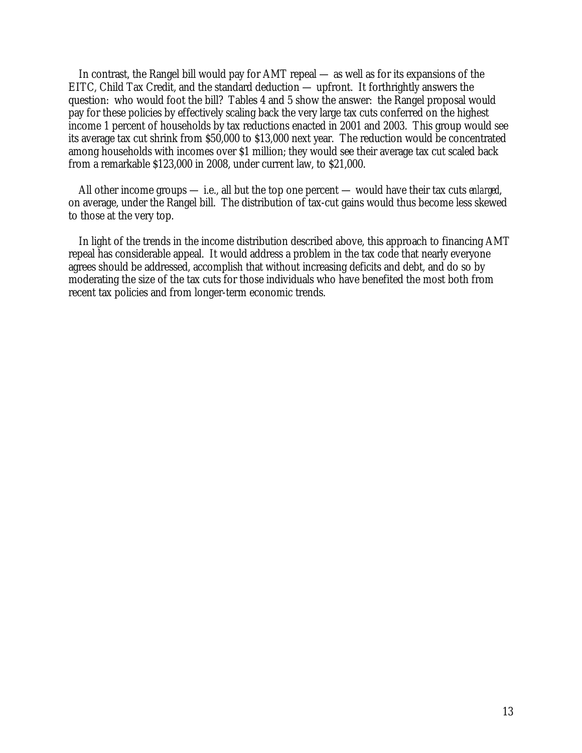In contrast, the Rangel bill would pay for AMT repeal — as well as for its expansions of the EITC, Child Tax Credit, and the standard deduction — upfront. It forthrightly answers the question: who would foot the bill? Tables 4 and 5 show the answer: the Rangel proposal would pay for these policies by effectively scaling back the very large tax cuts conferred on the highest income 1 percent of households by tax reductions enacted in 2001 and 2003. This group would see its average tax cut shrink from \$50,000 to \$13,000 next year. The reduction would be concentrated among households with incomes over \$1 million; they would see their average tax cut scaled back from a remarkable \$123,000 in 2008, under current law, to \$21,000.

 All other income groups — i.e., all but the top one percent — would have their tax cuts *enlarged*, on average, under the Rangel bill. The distribution of tax-cut gains would thus become less skewed to those at the very top.

 In light of the trends in the income distribution described above, this approach to financing AMT repeal has considerable appeal. It would address a problem in the tax code that nearly everyone agrees should be addressed, accomplish that without increasing deficits and debt, and do so by moderating the size of the tax cuts for those individuals who have benefited the most both from recent tax policies and from longer-term economic trends.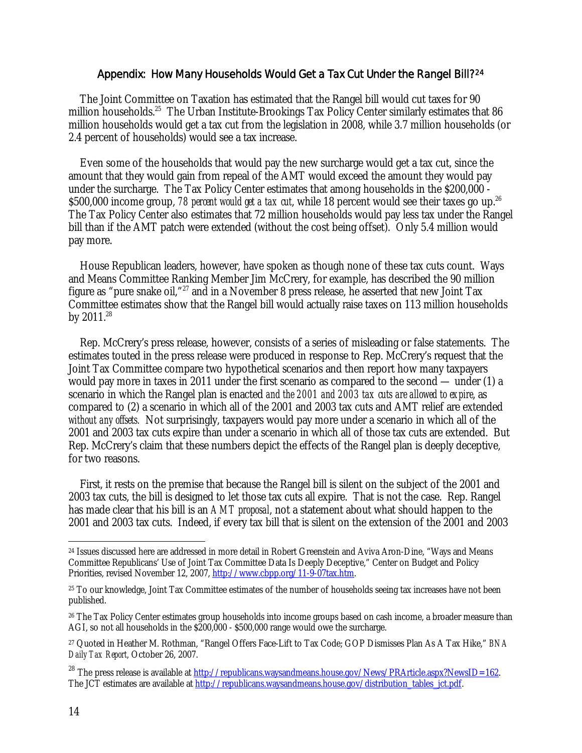## Appendix: How Many Households Would Get a Tax Cut Under the Rangel Bill?24

The Joint Committee on Taxation has estimated that the Rangel bill would cut taxes for 90 million households.<sup>25</sup> The Urban Institute-Brookings Tax Policy Center similarly estimates that 86 million households would get a tax cut from the legislation in 2008, while 3.7 million households (or 2.4 percent of households) would see a tax increase.

Even some of the households that would pay the new surcharge would get a tax cut, since the amount that they would gain from repeal of the AMT would exceed the amount they would pay under the surcharge. The Tax Policy Center estimates that among households in the \$200,000 - \$500,000 income group, *78 percent would get a tax cut*, while 18 percent would see their taxes go up.<sup>26</sup> The Tax Policy Center also estimates that 72 million households would pay less tax under the Rangel bill than if the AMT patch were extended (without the cost being offset). Only 5.4 million would pay more.

House Republican leaders, however, have spoken as though none of these tax cuts count. Ways and Means Committee Ranking Member Jim McCrery, for example, has described the 90 million figure as "pure snake oil,"27 and in a November 8 press release, he asserted that new Joint Tax Committee estimates show that the Rangel bill would actually raise taxes on 113 million households by  $2011.^{28}$ 

Rep. McCrery's press release, however, consists of a series of misleading or false statements. The estimates touted in the press release were produced in response to Rep. McCrery's request that the Joint Tax Committee compare two hypothetical scenarios and then report how many taxpayers would pay more in taxes in 2011 under the first scenario as compared to the second — under (1) a scenario in which the Rangel plan is enacted *and the 2001 and 2003 tax cuts are allowed to expire*, as compared to (2) a scenario in which all of the 2001 and 2003 tax cuts and AMT relief are extended *without any offsets.* Not surprisingly, taxpayers would pay more under a scenario in which all of the 2001 and 2003 tax cuts expire than under a scenario in which all of those tax cuts are extended. But Rep. McCrery's claim that these numbers depict the effects of the Rangel plan is deeply deceptive, for two reasons.

First, it rests on the premise that because the Rangel bill is silent on the subject of the 2001 and 2003 tax cuts, the bill is designed to let those tax cuts all expire. That is not the case. Rep. Rangel has made clear that his bill is an *AMT proposal*, not a statement about what should happen to the 2001 and 2003 tax cuts. Indeed, if every tax bill that is silent on the extension of the 2001 and 2003

<sup>-</sup><sup>24</sup> Issues discussed here are addressed in more detail in Robert Greenstein and Aviva Aron-Dine, "Ways and Means Committee Republicans' Use of Joint Tax Committee Data Is Deeply Deceptive," Center on Budget and Policy Priorities, revised November 12, 2007, http://www.cbpp.org/11-9-07tax.htm.

<sup>25</sup> To our knowledge, Joint Tax Committee estimates of the number of households seeing tax increases have not been published.

<sup>&</sup>lt;sup>26</sup> The Tax Policy Center estimates group households into income groups based on cash income, a broader measure than AGI, so not all households in the \$200,000 - \$500,000 range would owe the surcharge.

<sup>27</sup> Quoted in Heather M. Rothman, "Rangel Offers Face-Lift to Tax Code; GOP Dismisses Plan As A Tax Hike," *BNA Daily Tax Report*, October 26, 2007.

<sup>&</sup>lt;sup>28</sup> The press release is available at http://republicans.waysandmeans.house.gov/News/PRArticle.aspx?NewsID=162. The JCT estimates are available at http://republicans.waysandmeans.house.gov/distribution\_tables\_jct.pdf.